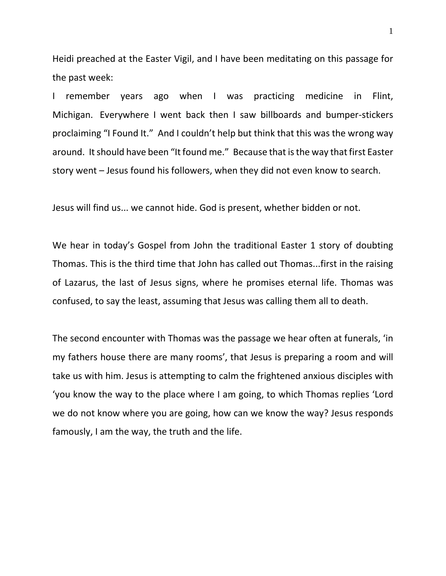Heidi preached at the Easter Vigil, and I have been meditating on this passage for the past week:

I remember years ago when I was practicing medicine in Flint, Michigan. Everywhere I went back then I saw billboards and bumper-stickers proclaiming "I Found It." And I couldn't help but think that this was the wrong way around. It should have been "It found me." Because that is the way that first Easter story went – Jesus found his followers, when they did not even know to search.

Jesus will find us... we cannot hide. God is present, whether bidden or not.

We hear in today's Gospel from John the traditional Easter 1 story of doubting Thomas. This is the third time that John has called out Thomas...first in the raising of Lazarus, the last of Jesus signs, where he promises eternal life. Thomas was confused, to say the least, assuming that Jesus was calling them all to death.

The second encounter with Thomas was the passage we hear often at funerals, 'in my fathers house there are many rooms', that Jesus is preparing a room and will take us with him. Jesus is attempting to calm the frightened anxious disciples with 'you know the way to the place where I am going, to which Thomas replies 'Lord we do not know where you are going, how can we know the way? Jesus responds famously, I am the way, the truth and the life.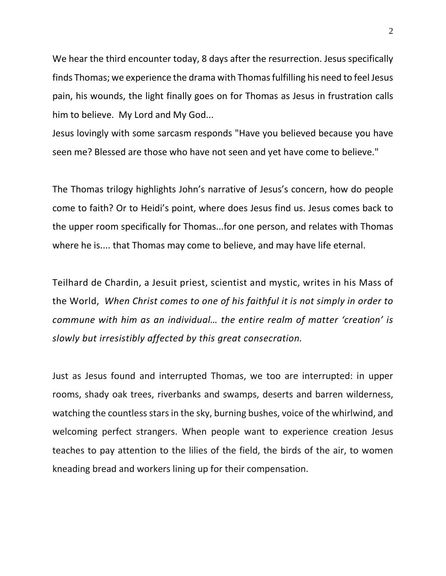We hear the third encounter today, 8 days after the resurrection. Jesus specifically finds Thomas; we experience the drama with Thomas fulfilling his need to feel Jesus pain, his wounds, the light finally goes on for Thomas as Jesus in frustration calls him to believe. My Lord and My God...

Jesus lovingly with some sarcasm responds "Have you believed because you have seen me? Blessed are those who have not seen and yet have come to believe."

The Thomas trilogy highlights John's narrative of Jesus's concern, how do people come to faith? Or to Heidi's point, where does Jesus find us. Jesus comes back to the upper room specifically for Thomas...for one person, and relates with Thomas where he is.... that Thomas may come to believe, and may have life eternal.

Teilhard de Chardin, a Jesuit priest, scientist and mystic, writes in his Mass of the World, *When Christ comes to one of his faithful it is not simply in order to commune with him as an individual… the entire realm of matter 'creation' is slowly but irresistibly affected by this great consecration.*

Just as Jesus found and interrupted Thomas, we too are interrupted: in upper rooms, shady oak trees, riverbanks and swamps, deserts and barren wilderness, watching the countless stars in the sky, burning bushes, voice of the whirlwind, and welcoming perfect strangers. When people want to experience creation Jesus teaches to pay attention to the lilies of the field, the birds of the air, to women kneading bread and workers lining up for their compensation.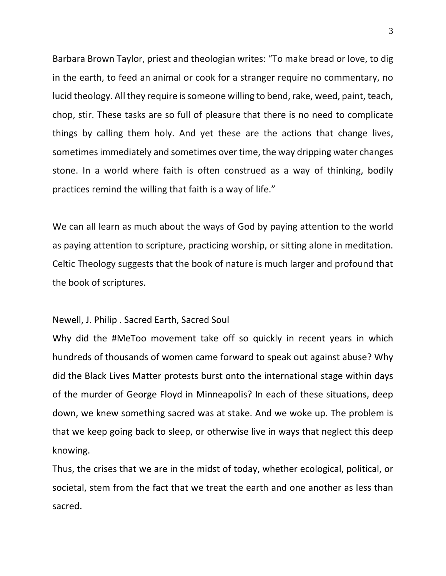Barbara Brown Taylor, priest and theologian writes: "To make bread or love, to dig in the earth, to feed an animal or cook for a stranger require no commentary, no lucid theology. All they require is someone willing to bend, rake, weed, paint, teach, chop, stir. These tasks are so full of pleasure that there is no need to complicate things by calling them holy. And yet these are the actions that change lives, sometimes immediately and sometimes over time, the way dripping water changes stone. In a world where faith is often construed as a way of thinking, bodily practices remind the willing that faith is a way of life."

We can all learn as much about the ways of God by paying attention to the world as paying attention to scripture, practicing worship, or sitting alone in meditation. Celtic Theology suggests that the book of nature is much larger and profound that the book of scriptures.

## Newell, J. Philip . Sacred Earth, Sacred Soul

Why did the #MeToo movement take off so quickly in recent years in which hundreds of thousands of women came forward to speak out against abuse? Why did the Black Lives Matter protests burst onto the international stage within days of the murder of George Floyd in Minneapolis? In each of these situations, deep down, we knew something sacred was at stake. And we woke up. The problem is that we keep going back to sleep, or otherwise live in ways that neglect this deep knowing.

Thus, the crises that we are in the midst of today, whether ecological, political, or societal, stem from the fact that we treat the earth and one another as less than sacred.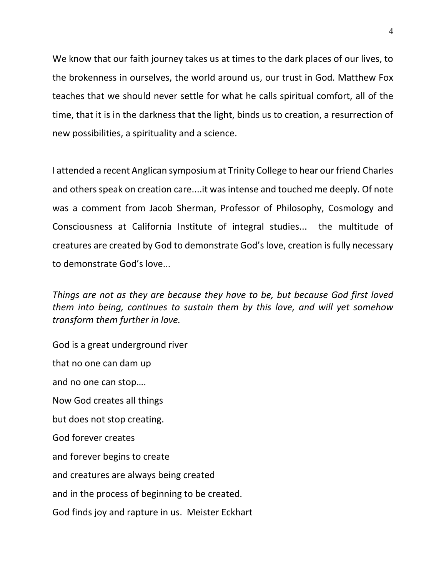We know that our faith journey takes us at times to the dark places of our lives, to the brokenness in ourselves, the world around us, our trust in God. Matthew Fox teaches that we should never settle for what he calls spiritual comfort, all of the time, that it is in the darkness that the light, binds us to creation, a resurrection of new possibilities, a spirituality and a science.

I attended a recent Anglican symposium at Trinity College to hear our friend Charles and others speak on creation care....it was intense and touched me deeply. Of note was a comment from Jacob Sherman, Professor of Philosophy, Cosmology and Consciousness at California Institute of integral studies... the multitude of creatures are created by God to demonstrate God's love, creation is fully necessary to demonstrate God's love...

*Things are not as they are because they have to be, but because God first loved them into being, continues to sustain them by this love, and will yet somehow transform them further in love.*

God is a great underground river that no one can dam up and no one can stop…. Now God creates all things but does not stop creating. God forever creates and forever begins to create and creatures are always being created and in the process of beginning to be created. God finds joy and rapture in us. Meister Eckhart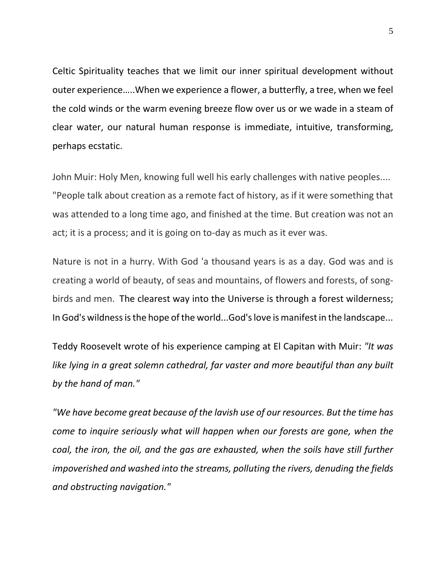Celtic Spirituality teaches that we limit our inner spiritual development without outer experience…..When we experience a flower, a butterfly, a tree, when we feel the cold winds or the warm evening breeze flow over us or we wade in a steam of clear water, our natural human response is immediate, intuitive, transforming, perhaps ecstatic.

John Muir: Holy Men, knowing full well his early challenges with native peoples.... "People talk about creation as a remote fact of history, as if it were something that was attended to a long time ago, and finished at the time. But creation was not an act; it is a process; and it is going on to-day as much as it ever was.

Nature is not in a hurry. With God 'a thousand years is as a day. God was and is creating a world of beauty, of seas and mountains, of flowers and forests, of songbirds and men. The clearest way into the Universe is through a forest wilderness; In God's wildness is the hope of the world...God's love is manifest in the landscape...

Teddy Roosevelt wrote of his experience camping at El Capitan with Muir: *"It was like lying in a great solemn cathedral, far vaster and more beautiful than any built by the hand of man."*

*"We have become great because of the lavish use of our resources. But the time has come to inquire seriously what will happen when our forests are gone, when the coal, the iron, the oil, and the gas are exhausted, when the soils have still further impoverished and washed into the streams, polluting the rivers, denuding the fields and obstructing navigation."*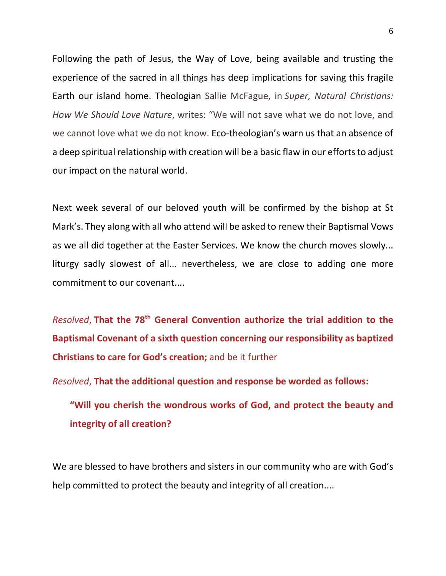Following the path of Jesus, the Way of Love, being available and trusting the experience of the sacred in all things has deep implications for saving this fragile Earth our island home. Theologian Sallie McFague, in *Super, Natural Christians: How We Should Love Nature*, writes: "We will not save what we do not love, and we cannot love what we do not know. Eco-theologian's warn us that an absence of a deep spiritual relationship with creation will be a basic flaw in our efforts to adjust our impact on the natural world.

Next week several of our beloved youth will be confirmed by the bishop at St Mark's. They along with all who attend will be asked to renew their Baptismal Vows as we all did together at the Easter Services. We know the church moves slowly... liturgy sadly slowest of all... nevertheless, we are close to adding one more commitment to our covenant....

*Resolved*, **That the 78th General Convention authorize the trial addition to the Baptismal Covenant of a sixth question concerning our responsibility as baptized Christians to care for God's creation;** and be it further

*Resolved*, **That the additional question and response be worded as follows:**

**"Will you cherish the wondrous works of God, and protect the beauty and integrity of all creation?**

We are blessed to have brothers and sisters in our community who are with God's help committed to protect the beauty and integrity of all creation....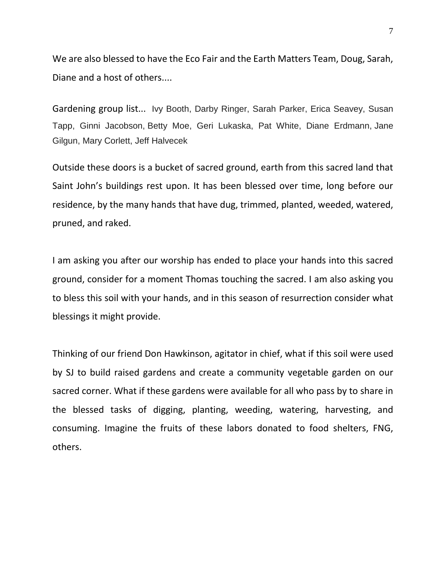We are also blessed to have the Eco Fair and the Earth Matters Team, Doug, Sarah, Diane and a host of others....

Gardening group list... Ivy Booth, Darby Ringer, Sarah Parker, Erica Seavey, Susan Tapp, Ginni Jacobson, Betty Moe, Geri Lukaska, Pat White, Diane Erdmann, Jane Gilgun, Mary Corlett, Jeff Halvecek

Outside these doors is a bucket of sacred ground, earth from this sacred land that Saint John's buildings rest upon. It has been blessed over time, long before our residence, by the many hands that have dug, trimmed, planted, weeded, watered, pruned, and raked.

I am asking you after our worship has ended to place your hands into this sacred ground, consider for a moment Thomas touching the sacred. I am also asking you to bless this soil with your hands, and in this season of resurrection consider what blessings it might provide.

Thinking of our friend Don Hawkinson, agitator in chief, what if this soil were used by SJ to build raised gardens and create a community vegetable garden on our sacred corner. What if these gardens were available for all who pass by to share in the blessed tasks of digging, planting, weeding, watering, harvesting, and consuming. Imagine the fruits of these labors donated to food shelters, FNG, others.